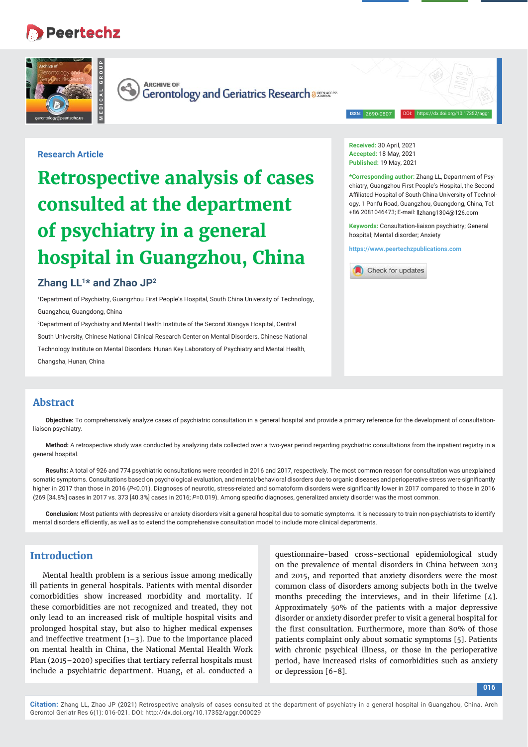# **Peertechz**



**ARCHIVE OF** 

Gerontology and Geriatrics Research assesses

**ISSN**: 2690-0807

DOI: https://dx.doi.org/10.17352/aggr

### **Research Article**

# **Retrospective analysis of cases consulted at the department of psychiatry in a general hospital in Guangzhou, China**

# **Zhang LL1\* and Zhao JP2**

1 Department of Psychiatry, Guangzhou First People's Hospital, South China University of Technology, Guangzhou, Guangdong, China

2 Department of Psychiatry and Mental Health Institute of the Second Xiangya Hospital, Central South University, Chinese National Clinical Research Center on Mental Disorders, Chinese National Technology Institute on Mental Disorders Hunan Key Laboratory of Psychiatry and Mental Health,

Changsha, Hunan, China

**Received:** 30 April, 2021 **Accepted:** 18 May, 2021 **Published:** 19 May, 2021

**\*Corresponding author:** Zhang LL, Department of Psychiatry, Guangzhou First People's Hospital, the Second Affiliated Hospital of South China University of Technology, 1 Panfu Road, Guangzhou, Guangdong, China, Tel: +86 2081046473; E-mail:

**Keywords:** Consultation-liaison psychiatry; General hospital; Mental disorder; Anxiety

**https://www.peertechzpublications.com**



# **Abstract**

**Objective:** To comprehensively analyze cases of psychiatric consultation in a general hospital and provide a primary reference for the development of consultationliaison psychiatry.

**Method:** A retrospective study was conducted by analyzing data collected over a two-year period regarding psychiatric consultations from the inpatient registry in a general hospital.

**Results:** A total of 926 and 774 psychiatric consultations were recorded in 2016 and 2017, respectively. The most common reason for consultation was unexplained somatic symptoms. Consultations based on psychological evaluation, and mental/behavioral disorders due to organic diseases and perioperative stress were significantly higher in 2017 than those in 2016 (P<0.01). Diagnoses of neurotic, stress-related and somatoform disorders were significantly lower in 2017 compared to those in 2016 (269 [34.8%] cases in 2017 vs. 373 [40.3%] cases in 2016; P=0.019). Among specific diagnoses, generalized anxiety disorder was the most common.

**Conclusion:** Most patients with depressive or anxiety disorders visit a general hospital due to somatic symptoms. It is necessary to train non-psychiatrists to identify mental disorders efficiently, as well as to extend the comprehensive consultation model to include more clinical departments.

# **Introduction**

Mental health problem is a serious issue among medically ill patients in general hospitals. Patients with mental disorder comorbidities show increased morbidity and mortality. If these comorbidities are not recognized and treated, they not only lead to an increased risk of multiple hospital visits and prolonged hospital stay, but also to higher medical expenses and ineffective treatment [1–3]. Due to the importance placed on mental health in China, the National Mental Health Work Plan (2015–2020) specifies that tertiary referral hospitals must include a psychiatric department. Huang, et al. conducted a

questionnaire-based cross-sectional epidemiological study on the prevalence of mental disorders in China between 2013 and 2015, and reported that anxiety disorders were the most common class of disorders among subjects both in the twelve months preceding the interviews, and in their lifetime [4]. Approximately 50% of the patients with a major depressive disorder or anxiety disorder prefer to visit a general hospital for the first consultation. Furthermore, more than 80% of those patients complaint only about somatic symptoms [5]. Patients with chronic psychical illness, or those in the perioperative period, have increased risks of comorbidities such as anxiety or depression [6-8].

**016**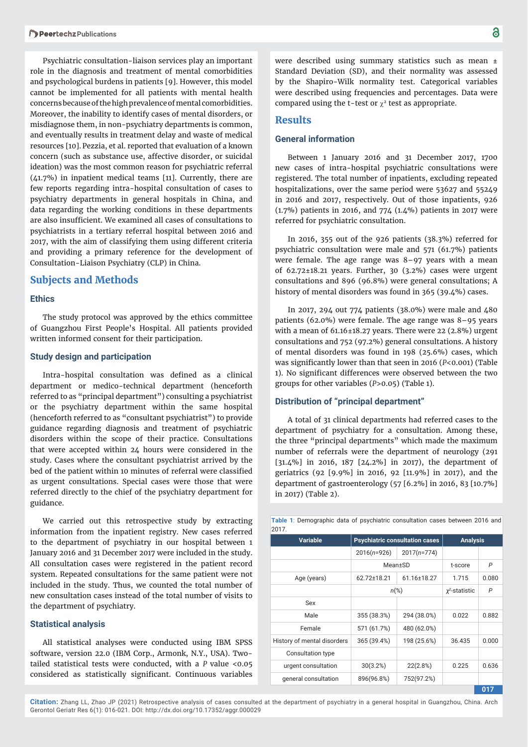Psychiatric consultation-liaison services play an important role in the diagnosis and treatment of mental comorbidities and psychological burdens in patients [9]. However, this model cannot be implemented for all patients with mental health concerns because of the high prevalence of mental comorbidities. Moreover, the inability to identify cases of mental disorders, or misdiagnose them, in non-psychiatry departments is common, and eventually results in treatment delay and waste of medical resources [10].Pezzia, et al. reported that evaluation of a known concern (such as substance use, affective disorder, or suicidal ideation) was the most common reason for psychiatric referral (41.7%) in inpatient medical teams [11]. Currently, there are few reports regarding intra-hospital consultation of cases to psychiatry departments in general hospitals in China, and data regarding the working conditions in these departments are also insufficient. We examined all cases of consultations to psychiatrists in a tertiary referral hospital between 2016 and 2017, with the aim of classifying them using different criteria and providing a primary reference for the development of Consultation-Liaison Psychiatry (CLP) in China.

#### **Subjects and Methods**

#### **Ethics**

The study protocol was approved by the ethics committee of Guangzhou First People's Hospital. All patients provided written informed consent for their participation.

#### **Study design and participation**

Intra-hospital consultation was defined as a clinical department or medico-technical department (henceforth referred to as "principal department") consulting a psychiatrist or the psychiatry department within the same hospital (henceforth referred to as "consultant psychiatrist") to provide guidance regarding diagnosis and treatment of psychiatric disorders within the scope of their practice. Consultations that were accepted within 24 hours were considered in the study. Cases where the consultant psychiatrist arrived by the bed of the patient within 10 minutes of referral were classified as urgent consultations. Special cases were those that were referred directly to the chief of the psychiatry department for guidance.

We carried out this retrospective study by extracting information from the inpatient registry. New cases referred to the department of psychiatry in our hospital between 1 January 2016 and 31 December 2017 were included in the study. All consultation cases were registered in the patient record system. Repeated consultations for the same patient were not included in the study. Thus, we counted the total number of new consultation cases instead of the total number of visits to the department of psychiatry.

#### **Statistical analysis**

All statistical analyses were conducted using IBM SPSS software, version 22.0 (IBM Corp., Armonk, N.Y., USA). Twotailed statistical tests were conducted, with a *P* value <0.05 considered as statistically significant. Continuous variables were described using summary statistics such as mean ± Standard Deviation (SD), and their normality was assessed by the Shapiro-Wilk normality test. Categorical variables were described using frequencies and percentages. Data were compared using the t-test or  $\chi^2$  test as appropriate.

#### **Results**

#### **General information**

Between 1 January 2016 and 31 December 2017, 1700 new cases of intra-hospital psychiatric consultations were registered. The total number of inpatients, excluding repeated hospitalizations, over the same period were 53627 and 55249 in 2016 and 2017, respectively. Out of those inpatients, 926 (1.7%) patients in 2016, and 774 (1.4%) patients in 2017 were referred for psychiatric consultation.

In 2016, 355 out of the 926 patients (38.3%) referred for psychiatric consultation were male and 571 (61.7%) patients were female. The age range was 8–97 years with a mean of 62.72±18.21 years. Further, 30 (3.2%) cases were urgent consultations and 896 (96.8%) were general consultations; A history of mental disorders was found in 365 (39.4%) cases.

In 2017, 294 out 774 patients (38.0%) were male and 480 patients (62.0%) were female. The age range was 8–95 years with a mean of  $61.16\pm18.27$  years. There were 22 (2.8%) urgent consultations and 752 (97.2%) general consultations. A history of mental disorders was found in 198 (25.6%) cases, which was significantly lower than that seen in 2016 (*P*<0.001) (Table 1). No significant differences were observed between the two groups for other variables (*P*>0.05) (Table 1).

#### **Distribution of "principal department"**

A total of 31 clinical departments had referred cases to the department of psychiatry for a consultation. Among these, the three "principal departments" which made the maximum number of referrals were the department of neurology (291 [31.4%] in 2016, 187 [24.2%] in 2017), the department of geriatrics (92 [9.9%] in 2016, 92 [11.9%] in 2017), and the department of gastroenterology (57 [6.2%] in 2016, 83 [10.7%] in 2017) (Table 2).

| 20 I <i>I</i> .             |                                       |               |                     |       |
|-----------------------------|---------------------------------------|---------------|---------------------|-------|
| <b>Variable</b>             | <b>Psychiatric consultation cases</b> |               | <b>Analysis</b>     |       |
|                             | $2016(n=926)$                         | $2017(n=774)$ |                     |       |
|                             | Mean±SD                               |               | t-score             | P     |
| Age (years)                 | 62.72±18.21                           | 61.16±18.27   | 1.715               | 0.080 |
|                             | $n\frac{6}{6}$                        |               | $\chi^2$ -statistic | P     |
| Sex                         |                                       |               |                     |       |
| Male                        | 355 (38.3%)                           | 294 (38.0%)   | 0.022               | 0.882 |
| Female                      | 571 (61.7%)                           | 480 (62.0%)   |                     |       |
| History of mental disorders | 365 (39.4%)                           | 198 (25.6%)   | 36.435              | 0.000 |
| Consultation type           |                                       |               |                     |       |
| urgent consultation         | 30(3.2%)                              | 22(2.8%)      | 0.225               | 0.636 |
| general consultation        | 896(96.8%)                            | 752(97.2%)    |                     |       |
|                             |                                       |               |                     | 017   |

**Table 1**: Demographic data of psychiatric consultation cases between 2016 and 2017.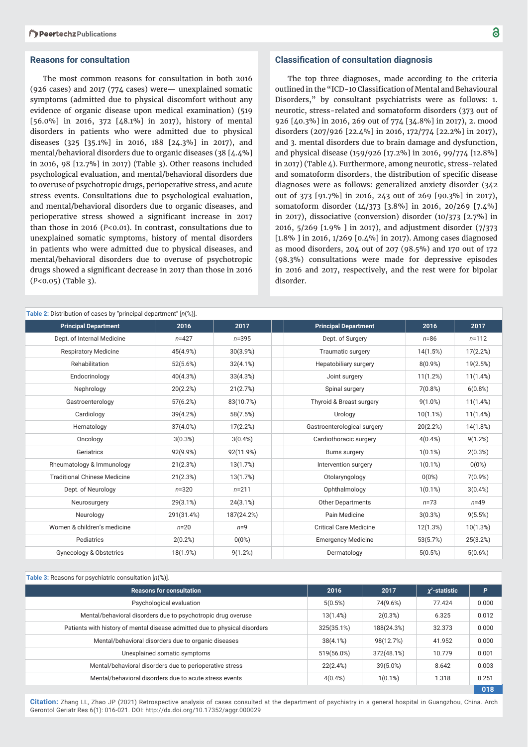#### **Reasons for consultation**

The most common reasons for consultation in both 2016 (926 cases) and 2017 (774 cases) were— unexplained somatic symptoms (admitted due to physical discomfort without any evidence of organic disease upon medical examination) (519 [56.0%] in 2016, 372 [48.1%] in 2017), history of mental disorders in patients who were admitted due to physical diseases (325 [35.1%] in 2016, 188 [24.3%] in 2017), and mental/behavioral disorders due to organic diseases (38 [4.4%] in 2016, 98 [12.7%] in 2017) (Table 3). Other reasons included psychological evaluation, and mental/behavioral disorders due to overuse of psychotropic drugs, perioperative stress, and acute stress events. Consultations due to psychological evaluation, and mental/behavioral disorders due to organic diseases, and perioperative stress showed a significant increase in 2017 than those in 2016 (*P*<0.01). In contrast, consultations due to unexplained somatic symptoms, history of mental disorders in patients who were admitted due to physical diseases, and mental/behavioral disorders due to overuse of psychotropic drugs showed a significant decrease in 2017 than those in 2016 (*P*<0.05) (Table 3).

#### **Classification of consultation diagnosis**

The top three diagnoses, made according to the criteria outlined in the "ICD-10 Classification of Mental and Behavioural Disorders," by consultant psychiatrists were as follows: 1. neurotic, stress-related and somatoform disorders (373 out of 926 [40.3%] in 2016, 269 out of 774 [34.8%] in 2017), 2. mood disorders (207/926 [22.4%] in 2016, 172/774 [22.2%] in 2017), and 3. mental disorders due to brain damage and dysfunction, and physical disease (159/926 [17.2%] in 2016, 99/774 [12.8%] in 2017) (Table 4). Furthermore, among neurotic, stress-related and somatoform disorders, the distribution of specific disease diagnoses were as follows: generalized anxiety disorder (342 out of 373 [91.7%] in 2016, 243 out of 269 [90.3%] in 2017), somatoform disorder (14/373 [3.8%] in 2016, 20/269 [7.4%] in 2017), dissociative (conversion) disorder (10/373 [2.7%] in 2016, 5/269 [1.9% ] in 2017), and adjustment disorder (7/373 [1.8% ] in 2016, 1/269 [0.4%] in 2017). Among cases diagnosed as mood disorders, 204 out of 207 (98.5%) and 170 out of 172 (98.3%) consultations were made for depressive episodes in 2016 and 2017, respectively, and the rest were for bipolar disorder.

| Table 2: Distribution of cases by "principal department" $[n(\%)]$ . |             |            |                               |            |            |
|----------------------------------------------------------------------|-------------|------------|-------------------------------|------------|------------|
| <b>Principal Department</b>                                          | 2016        | 2017       | <b>Principal Department</b>   | 2016       | 2017       |
| Dept. of Internal Medicine                                           | $n = 427$   | $n = 395$  | Dept. of Surgery              | $n = 86$   | $n = 112$  |
| <b>Respiratory Medicine</b>                                          | 45(4.9%)    | 30(3.9%)   | <b>Traumatic surgery</b>      | 14(1.5%)   | 17(2.2%)   |
| Rehabilitation                                                       | 52(5.6%)    | 32(4.1%)   | Hepatobiliary surgery         | $8(0.9\%)$ | 19(2.5%)   |
| Endocrinology                                                        | 40(4.3%)    | 33(4.3%)   | Joint surgery                 | 11(1.2%)   | 11(1.4%)   |
| Nephrology                                                           | 20(2.2%)    | 21(2.7%)   | Spinal surgery                | 7(0.8%)    | 6(0.8%)    |
| Gastroenterology                                                     | 57(6.2%)    | 83(10.7%)  | Thyroid & Breast surgery      | $9(1.0\%)$ | 11(1.4%)   |
| Cardiology                                                           | 39(4.2%)    | 58(7.5%)   | Urology                       | 10(1.1%)   | 11(1.4%)   |
| Hematology                                                           | 37(4.0%)    | 17(2.2%)   | Gastroenterological surgery   | 20(2.2%)   | 14(1.8%)   |
| Oncology                                                             | 3(0.3%)     | $3(0.4\%)$ | Cardiothoracic surgery        | $4(0.4\%)$ | 9(1.2%)    |
| Geriatrics                                                           | 92(9.9%)    | 92(11.9%)  | <b>Burns surgery</b>          | $1(0.1\%)$ | 2(0.3%)    |
| Rheumatology & Immunology                                            | 21(2.3%)    | 13(1.7%)   | Intervention surgery          | $1(0.1\%)$ | $0(0\%)$   |
| <b>Traditional Chinese Medicine</b>                                  | 21(2.3%)    | 13(1.7%)   | Otolaryngology                | $0(0\%)$   | $7(0.9\%)$ |
| Dept. of Neurology                                                   | $n = 320$   | $n = 211$  | Ophthalmology                 | $1(0.1\%)$ | $3(0.4\%)$ |
| Neurosurgery                                                         | $29(3.1\%)$ | 24(3.1%)   | Other Departments             | $n = 73$   | $n=49$     |
| Neurology                                                            | 291(31.4%)  | 187(24.2%) | Pain Medicine                 | 3(0.3%)    | 9(5.5%)    |
| Women & children's medicine                                          | $n=20$      | $n=9$      | <b>Critical Care Medicine</b> | 12(1.3%)   | 10(1.3%)   |
| Pediatrics                                                           | 2(0.2%)     | 0(0%)      | <b>Emergency Medicine</b>     | 53(5.7%)   | 25(3.2%)   |
| <b>Gynecology &amp; Obstetrics</b>                                   | 18(1.9%)    | 9(1.2%)    | Dermatology                   | 5(0.5%)    | 5(0.6%)    |

#### **Table 3:** Reasons for psychiatric consultation [*n*(%)].

| <b>Reasons for consultation</b>                                            | 2016        | 2017        | $\chi^2$ -statistic | P     |
|----------------------------------------------------------------------------|-------------|-------------|---------------------|-------|
| Psychological evaluation                                                   | 5(0.5%)     | 74(9.6%)    | 77.424              | 0.000 |
| Mental/behavioral disorders due to psychotropic drug overuse               | 13(1.4%)    | 2(0.3%)     | 6.325               | 0.012 |
| Patients with history of mental disease admitted due to physical disorders | 325(35.1%)  | 188(24.3%)  | 32.373              | 0.000 |
| Mental/behavioral disorders due to organic diseases                        | $38(4.1\%)$ | 98(12.7%)   | 41.952              | 0.000 |
| Unexplained somatic symptoms                                               | 519(56.0%)  | 372(48.1%)  | 10.779              | 0.001 |
| Mental/behavioral disorders due to perioperative stress                    | 22(2.4%)    | $39(5.0\%)$ | 8.642               | 0.003 |
| Mental/behavioral disorders due to acute stress events                     | $4(0.4\%)$  | $1(0.1\%)$  | 1.318               | 0.251 |
|                                                                            |             |             |                     | 018   |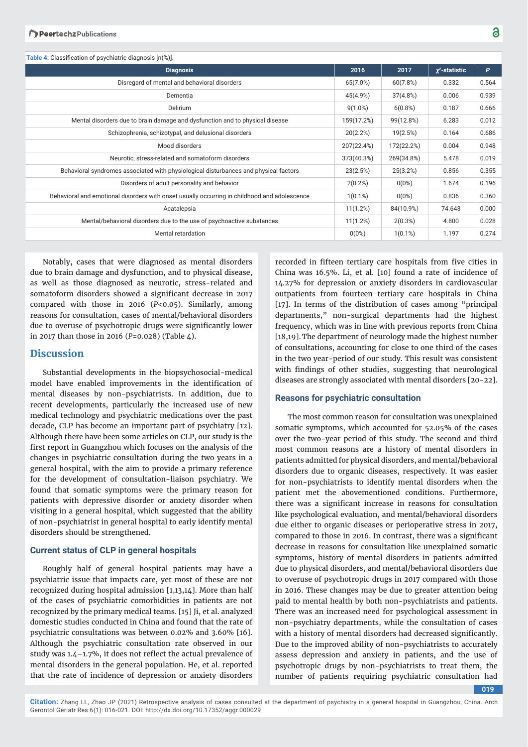| <b>Table 4:</b> Classification of psychiatric diagnosis [n(%)].                              |            |            |                     |       |
|----------------------------------------------------------------------------------------------|------------|------------|---------------------|-------|
| <b>Diagnosis</b>                                                                             | 2016       | 2017       | $\chi^2$ -statistic | P     |
| Disregard of mental and behavioral disorders                                                 | 65(7.0%)   | 60(7.8%)   | 0.332               | 0.564 |
| Dementia                                                                                     | 45(4.9%)   | 37(4.8%)   | 0.006               | 0.939 |
| Delirium                                                                                     | $9(1.0\%)$ | 6(0.8%)    | 0.187               | 0.666 |
| Mental disorders due to brain damage and dysfunction and to physical disease                 | 159(17.2%) | 99(12.8%)  | 6.283               | 0.012 |
| Schizophrenia, schizotypal, and delusional disorders                                         | 20(2.2%)   | 19(2.5%)   | 0.164               | 0.686 |
| Mood disorders                                                                               | 207(22.4%) | 172(22.2%) | 0.004               | 0.948 |
| Neurotic, stress-related and somatoform disorders                                            | 373(40.3%) | 269(34.8%) | 5.478               | 0.019 |
| Behavioral syndromes associated with physiological disturbances and physical factors         | 23(2.5%)   | 25(3.2%)   | 0.856               | 0.355 |
| Disorders of adult personality and behavior                                                  | 2(0.2%)    | $0(0\%)$   | 1.674               | 0.196 |
| Behavioral and emotional disorders with onset usually occurring in childhood and adolescence | $1(0.1\%)$ | $0(0\%)$   | 0.836               | 0.360 |
| Acatalepsia                                                                                  | 11(1.2%)   | 84(10.9%)  | 74.643              | 0.000 |
| Mental/behavioral disorders due to the use of psychoactive substances                        | 11(1.2%)   | 2(0.3%)    | 4.800               | 0.028 |
| Mental retardation                                                                           | 0(0%)      | $1(0.1\%)$ | 1.197               | 0.274 |
|                                                                                              |            |            |                     |       |

Notably, cases that were diagnosed as mental disorders due to brain damage and dysfunction, and to physical disease, as well as those diagnosed as neurotic, stress-related and somatoform disorders showed a significant decrease in 2017 compared with those in 2016 (*P*<0.05). Similarly, among reasons for consultation, cases of mental/behavioral disorders due to overuse of psychotropic drugs were significantly lower in 2017 than those in 2016 (*P*=0.028) (Table 4).

#### **Discussion**

Substantial developments in the biopsychosocial-medical model have enabled improvements in the identification of mental diseases by non-psychiatrists. In addition, due to recent developments, particularly the increased use of new medical technology and psychiatric medications over the past decade, CLP has become an important part of psychiatry [12]. Although there have been some articles on CLP, our study is the first report in Guangzhou which focuses on the analysis of the changes in psychiatric consultation during the two years in a general hospital, with the aim to provide a primary reference for the development of consultation-liaison psychiatry. We found that somatic symptoms were the primary reason for patients with depressive disorder or anxiety disorder when visiting in a general hospital, which suggested that the ability of non-psychiatrist in general hospital to early identify mental disorders should be strengthened.

#### **Current status of CLP in general hospitals**

Roughly half of general hospital patients may have a psychiatric issue that impacts care, yet most of these are not recognized during hospital admission [1,13,14]. More than half of the cases of psychiatric comorbidities in patients are not recognized by the primary medical teams. [15] Ji, et al. analyzed domestic studies conducted in China and found that the rate of psychiatric consultations was between 0.02% and 3.60% [16]. Although the psychiatric consultation rate observed in our study was  $1.4$  –1.7%, it does not reflect the actual prevalence of mental disorders in the general population. He, et al. reported that the rate of incidence of depression or anxiety disorders

recorded in fifteen tertiary care hospitals from five cities in China was 16.5%. Li, et al. [10] found a rate of incidence of 14.27% for depression or anxiety disorders in cardiovascular outpatients from fourteen tertiary care hospitals in China [17]. In terms of the distribution of cases among "principal departments," non-surgical departments had the highest frequency, which was in line with previous reports from China [18,19].The department of neurology made the highest number of consultations, accounting for close to one third of the cases in the two year-period of our study. This result was consistent with findings of other studies, suggesting that neurological diseases are strongly associated with mental disorders [20-22].

#### **Reasons for psychiatric consultation**

The most common reason for consultation was unexplained somatic symptoms, which accounted for 52.05% of the cases over the two-year period of this study. The second and third most common reasons are a history of mental disorders in patients admitted for physical disorders, and mental/behavioral disorders due to organic diseases, respectively. It was easier for non-psychiatrists to identify mental disorders when the patient met the abovementioned conditions. Furthermore, there was a significant increase in reasons for consultation like psychological evaluation, and mental/behavioral disorders due either to organic diseases or perioperative stress in 2017, compared to those in 2016. In contrast, there was a significant decrease in reasons for consultation like unexplained somatic symptoms, history of mental disorders in patients admitted due to physical disorders, and mental/behavioral disorders due to overuse of psychotropic drugs in 2017 compared with those in 2016. These changes may be due to greater attention being paid to mental health by both non-psychiatrists and patients. There was an increased need for psychological assessment in non-psychiatry departments, while the consultation of cases with a history of mental disorders had decreased significantly. Due to the improved ability of non-psychiatrists to accurately assess depression and anxiety in patients, and the use of psychotropic drugs by non-psychiatrists to treat them, the number of patients requiring psychiatric consultation had

**019**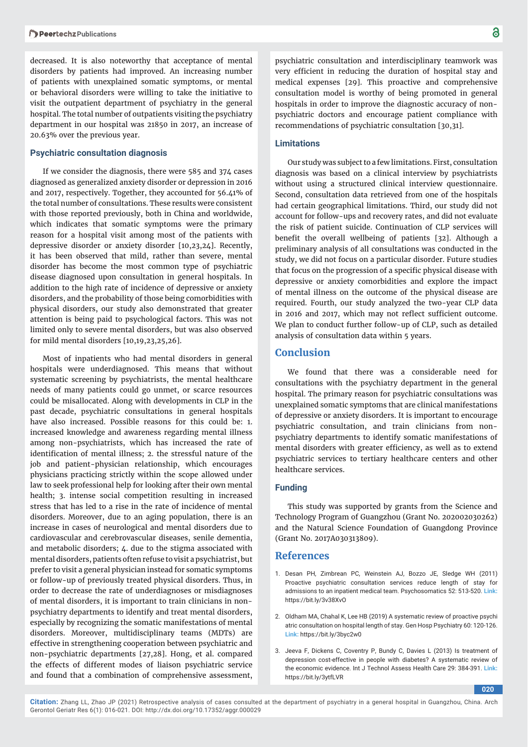decreased. It is also noteworthy that acceptance of mental disorders by patients had improved. An increasing number of patients with unexplained somatic symptoms, or mental or behavioral disorders were willing to take the initiative to visit the outpatient department of psychiatry in the general hospital. The total number of outpatients visiting the psychiatry department in our hospital was 21850 in 2017, an increase of 20.63% over the previous year.

#### **Psychiatric consultation diagnosis**

If we consider the diagnosis, there were 585 and 374 cases diagnosed as generalized anxiety disorder or depression in 2016 and 2017, respectively. Together, they accounted for 56.41% of the total number of consultations. These results were consistent with those reported previously, both in China and worldwide, which indicates that somatic symptoms were the primary reason for a hospital visit among most of the patients with depressive disorder or anxiety disorder [10,23,24]. Recently, it has been observed that mild, rather than severe, mental disorder has become the most common type of psychiatric disease diagnosed upon consultation in general hospitals. In addition to the high rate of incidence of depressive or anxiety disorders, and the probability of those being comorbidities with physical disorders, our study also demonstrated that greater attention is being paid to psychological factors. This was not limited only to severe mental disorders, but was also observed for mild mental disorders [10,19,23,25,26].

Most of inpatients who had mental disorders in general hospitals were underdiagnosed. This means that without systematic screening by psychiatrists, the mental healthcare needs of many patients could go unmet, or scarce resources could be misallocated. Along with developments in CLP in the past decade, psychiatric consultations in general hospitals have also increased. Possible reasons for this could be: 1. increased knowledge and awareness regarding mental illness among non-psychiatrists, which has increased the rate of identification of mental illness; 2. the stressful nature of the job and patient-physician relationship, which encourages physicians practicing strictly within the scope allowed under law to seek professional help for looking after their own mental health; 3. intense social competition resulting in increased stress that has led to a rise in the rate of incidence of mental disorders. Moreover, due to an aging population, there is an increase in cases of neurological and mental disorders due to cardiovascular and cerebrovascular diseases, senile dementia, and metabolic disorders; 4. due to the stigma associated with mental disorders, patients often refuse to visit a psychiatrist, but prefer to visit a general physician instead for somatic symptoms or follow-up of previously treated physical disorders. Thus, in order to decrease the rate of underdiagnoses or misdiagnoses of mental disorders, it is important to train clinicians in nonpsychiatry departments to identify and treat mental disorders, especially by recognizing the somatic manifestations of mental disorders. Moreover, multidisciplinary teams (MDTs) are effective in strengthening cooperation between psychiatric and non-psychiatric departments [27,28]. Hong, et al. compared the effects of different modes of liaison psychiatric service and found that a combination of comprehensive assessment,

psychiatric consultation and interdisciplinary teamwork was very efficient in reducing the duration of hospital stay and medical expenses [29]. This proactive and comprehensive consultation model is worthy of being promoted in general hospitals in order to improve the diagnostic accuracy of nonpsychiatric doctors and encourage patient compliance with recommendations of psychiatric consultation [30,31].

#### **Limitat ions**

Our study was subject to a few limitations. First, consultation diagnosis was based on a clinical interview by psychiatrists without using a structured clinical interview questionnaire. Second, consultation data retrieved from one of the hospitals had certain geographical limitations. Third, our study did not account for follow-ups and recovery rates, and did not evaluate the risk of patient suicide. Continuation of CLP services will benefit the overall wellbeing of patients [32]. Although a preliminary analysis of all consultations was conducted in the study, we did not focus on a particular disorder. Future studies that focus on the progression of a specific physical disease with depressive or anxiety comorbidities and explore the impact of mental illness on the outcome of the physical disease are required. Fourth, our study analyzed the two-year CLP data in 2016 and 2017, which may not reflect sufficient outcome. We plan to conduct further follow-up of CLP, such as detailed analysis of consultation data within 5 years.

#### **Conclusion**

We found that there was a considerable need for consultations with the psychiatry department in the general hospital. The primary reason for psychiatric consultations was unexplained somatic symptoms that are clinical manifestations of depressive or anxiety disorders. It is important to encourage psychiatric consultation, and train clinicians from nonpsychiatry departments to identify somatic manifestations of mental disorders with greater efficiency, as well as to extend psychiatric services to tertiary healthcare centers and other healthcare services.

#### **Funding**

This study was supported by grants from the Science and Technology Program of Guangzhou (Grant No. 202002030262) and the Natural Science Foundation of Guangdong Province (Grant No. 2017A030313809).

#### **References**

- 1. Desan PH, Zimbrean PC, Weinstein AJ, Bozzo JE, Sledge WH (2011) Proactive psychiatric consultation services reduce length of stay for admissions to an inpatient medical team. Psychosomatics 52: 513-520. **Link:**  https://bit.ly/3v38XvO
- 2. Oldham MA, Chahal K, Lee HB (2019) A systematic review of proactive psychi atric consultation on hospital length of stay. Gen Hosp Psychiatry 60: 120-126. **Link:** https://bit.ly/3byc2w0
- 3. Jeeva F, Dickens C, Coventry P, Bundy C, Davies L (2013) Is treatment of depression cost-effective in people with diabetes? A systematic review of the economic evidence. Int J Technol Assess Health Care 29: 384-391. **Link:** https://bit.ly/3ytfLVR

**020**